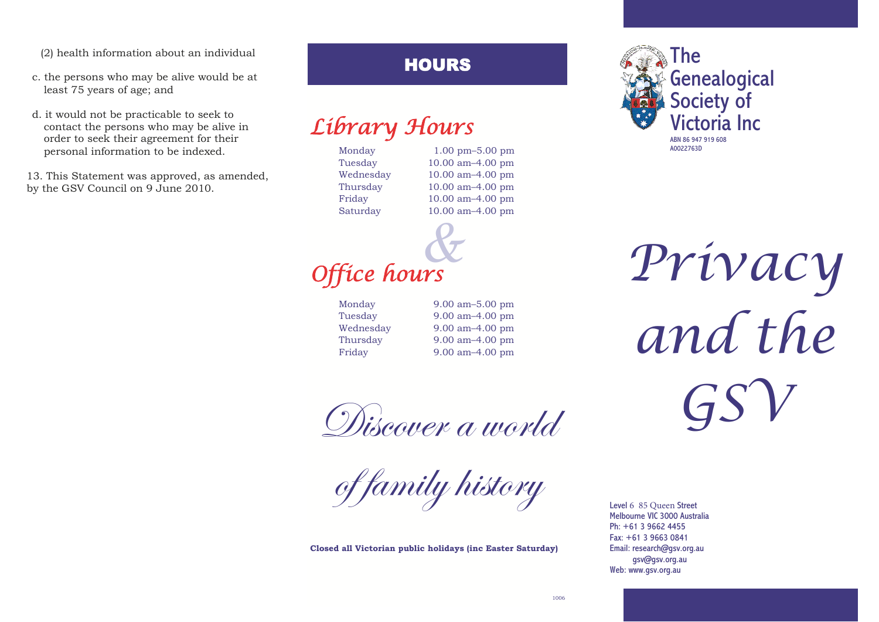(2) health information about an individual

- c. the persons who may be alive would be at least 75 years of age; and
- d. it would not be practicable to seek to contact the persons who may be alive in order to seek their agreement for their personal information to be indexed.

13. This Statement was approved, as amended, by the GSV Council on 9 June 2010.

### HOURS

# Library Hours

Monday 1.00 pm–5.00 pm

Tuesday 10.00 am–4.00 pm Wednesday 10.00 am–4.00 pm Thursday 10.00 am–4.00 pm Friday 10.00 am–4.00 pm Saturday 10.00 am–4.00 pm



Monday Tuesday Wednesday Thursday Friday

9.00 am–5.00 pm 9.00 am–4.00 pm 9.00 am–4.00 pm 9.00 am–4.00 pm 9.00 am–4.00 pm

Wiscover a world

of family history

**Closed all Victorian public holidays (inc Easter Saturday)**



Privacy and the GSV

Level 6 85 Queen Street Melbourne VIC 3000 Australia Ph: +61 3 9662 4455 Fax: +61 3 9663 0841 Email: research@gsv.org.au gsv@gsv.org.au Web: www.gsv.org.au